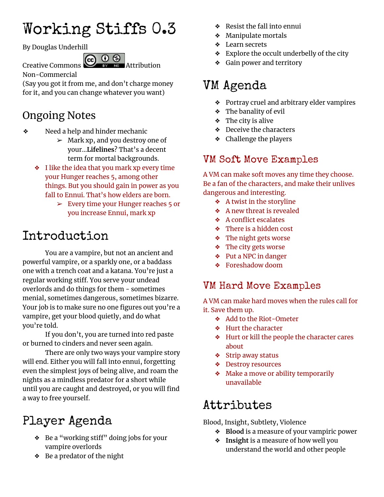# Working Stiffs 0.3

By Douglas Underhill

Creative Commons  $\bigodot$   $\bigodot$   $\bigodot$   $\bigodot$  Attribution

Non-Commercial

(Say you got it from me, and don't charge money for it, and you can change whatever you want)

## Ongoing Notes

- ❖ Need a help and hinder mechanic
	- $>$  Mark xp, and you destroy one of your...**Lifelines**? That's a decent term for mortal backgrounds.
	- ❖ I like the idea that you mark xp every time your Hunger reaches 5, among other things. But you should gain in power as you fall to Ennui. That's how elders are born.
		- $\geq$  Every time your Hunger reaches 5 or you increase Ennui, mark xp

# Introduction

You are a vampire, but not an ancient and powerful vampire, or a sparkly one, or a baddass one with a trench coat and a katana. You're just a regular working stiff. You serve your undead overlords and do things for them - sometimes menial, sometimes dangerous, sometimes bizarre. Your job is to make sure no one figures out you're a vampire, get your blood quietly, and do what you're told.

If you don't, you are turned into red paste or burned to cinders and never seen again.

There are only two ways your vampire story will end. Either you will fall into ennui, forgetting even the simplest joys of being alive, and roam the nights as a mindless predator for a short while until you are caught and destroyed, or you will find a way to free yourself.

# Player Agenda

- ❖ Be a "working stiff" doing jobs for your vampire overlords
- ❖ Be a predator of the night
- ❖ Resist the fall into ennui
- ❖ Manipulate mortals
- ❖ Learn secrets
- ❖ Explore the occult underbelly of the city
- ❖ Gain power and territory

## VM Agenda

- ❖ Portray cruel and arbitrary elder vampires
- ❖ The banality of evil
- ❖ The city is alive
- ❖ Deceive the characters
- ❖ Challenge the players

## VM Soft Move Examples

A VM can make soft moves any time they choose. Be a fan of the characters, and make their unlives dangerous and interesting.

- ❖ A twist in the storyline
- ❖ A new threat is revealed
- ❖ A conflict escalates
- ❖ There is a hidden cost
- ❖ The night gets worse
- ❖ The city gets worse
- ❖ Put a NPC in danger
- ❖ Foreshadow doom

## VM Hard Move Examples

A VM can make hard moves when the rules call for it. Save them up.

- ❖ Add to the Riot-Ometer
- ❖ Hurt the character
- ❖ Hurt or kill the people the character cares about
- ❖ Strip away status
- ❖ Destroy resources
- ❖ Make a move or ability temporarily unavailable

# Attributes

Blood, Insight, Subtlety, Violence

- ❖ **Blood** is a measure of your vampiric power
- ❖ **Insight** is a measure of how well you understand the world and other people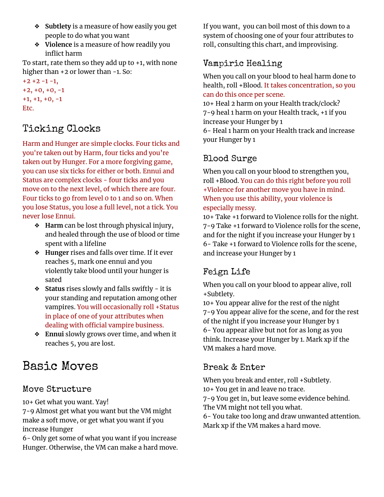- ❖ **Subtlety** is a measure of how easily you get people to do what you want
- ❖ **Violence** is a measure of how readily you inflict harm

To start, rate them so they add up to +1, with none higher than +2 or lower than -1. So:

 $+2 +2 -1 -1$ , +2, +0, +0, -1 +1, +1, +0, -1 Etc.

### Ticking Clocks

Harm and Hunger are simple clocks. Four ticks and you're taken out by Harm, four ticks and you're taken out by Hunger. For a more forgiving game, you can use six ticks for either or both. Ennui and Status are complex clocks - four ticks and you move on to the next level, of which there are four. Four ticks to go from level 0 to 1 and so on. When you lose Status, you lose a full level, not a tick. You never lose Ennui.

- ❖ **Harm** can be lost through physical injury, and healed through the use of blood or time spent with a lifeline
- ❖ **Hunger** rises and falls over time. If it ever reaches 5, mark one ennui and you violently take blood until your hunger is sated
- ❖ **Status** rises slowly and falls swiftly it is your standing and reputation among other vampires. You will occasionally roll +Status in place of one of your attributes when dealing with official vampire business.
- ❖ **Ennui** slowly grows over time, and when it reaches 5, you are lost.

## Basic Moves

### Move Structure

10+ Get what you want. Yay!

7-9 Almost get what you want but the VM might make a soft move, or get what you want if you increase Hunger

6- Only get some of what you want if you increase Hunger. Otherwise, the VM can make a hard move. If you want, you can boil most of this down to a system of choosing one of your four attributes to roll, consulting this chart, and improvising.

### Vampiric Healing

When you call on your blood to heal harm done to health, roll +Blood. It takes concentration, so you can do this once per scene.

10+ Heal 2 harm on your Health track/clock? 7-9 heal 1 harm on your Health track, +1 if you increase your Hunger by 1

6- Heal 1 harm on your Health track and increase your Hunger by 1

### Blood Surge

When you call on your blood to strengthen you, roll +Blood. You can do this right before you roll +Violence for another move you have in mind. When you use this ability, your violence is especially messy.

10+ Take +1 forward to Violence rolls for the night. 7-9 Take +1 forward to Violence rolls for the scene, and for the night if you increase your Hunger by 1 6- Take +1 forward to Violence rolls for the scene, and increase your Hunger by 1

### Feign Life

When you call on your blood to appear alive, roll +Subtlety.

10+ You appear alive for the rest of the night 7-9 You appear alive for the scene, and for the rest of the night if you increase your Hunger by 1 6- You appear alive but not for as long as you think. Increase your Hunger by 1. Mark xp if the VM makes a hard move.

### Break & Enter

When you break and enter, roll +Subtlety. 10+ You get in and leave no trace.

7-9 You get in, but leave some evidence behind. The VM might not tell you what.

6- You take too long and draw unwanted attention. Mark xp if the VM makes a hard move.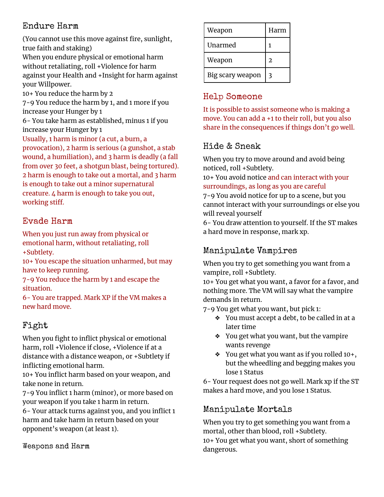### Endure Harm

(You cannot use this move against fire, sunlight, true faith and staking)

When you endure physical or emotional harm without retaliating, roll +Violence for harm against your Health and +Insight for harm against your Willpower.

10+ You reduce the harm by 2

7-9 You reduce the harm by 1, and 1 more if you increase your Hunger by 1

6- You take harm as established, minus 1 if you increase your Hunger by 1

Usually, 1 harm is minor (a cut, a burn, a provocation), 2 harm is serious (a gunshot, a stab wound, a humiliation), and 3 harm is deadly (a fall from over 30 feet, a shotgun blast, being tortured). 2 harm is enough to take out a mortal, and 3 harm is enough to take out a minor supernatural creature. 4 harm is enough to take you out, working stiff.

### Evade Harm

When you just run away from physical or emotional harm, without retaliating, roll +Subtlety.

10+ You escape the situation unharmed, but may have to keep running.

7-9 You reduce the harm by 1 and escape the situation.

6- You are trapped. Mark XP if the VM makes a new hard move.

### Fight

When you fight to inflict physical or emotional harm, roll +Violence if close, +Violence if at a distance with a distance weapon, or +Subtlety if inflicting emotional harm.

10+ You inflict harm based on your weapon, and take none in return.

7-9 You inflict 1 harm (minor), or more based on your weapon if you take 1 harm in return.

6- Your attack turns against you, and you inflict 1 harm and take harm in return based on your opponent's weapon (at least 1).

#### Weapons and Harm

| Weapon           | Harm |
|------------------|------|
| Unarmed          | 1    |
| Weapon           | 2    |
| Big scary weapon | 3    |

### Help Someone

It is possible to assist someone who is making a move. You can add a +1 to their roll, but you also share in the consequences if things don't go well.

### Hide & Sneak

When you try to move around and avoid being noticed, roll +Subtlety.

10+ You avoid notice and can interact with your surroundings, as long as you are careful

7-9 You avoid notice for up to a scene, but you cannot interact with your surroundings or else you will reveal yourself

6- You draw attention to yourself. If the ST makes a hard move in response, mark xp.

### Manipulate Vampires

When you try to get something you want from a vampire, roll +Subtlety.

10+ You get what you want, a favor for a favor, and nothing more. The VM will say what the vampire demands in return.

7-9 You get what you want, but pick 1:

- ❖ You must accept a debt, to be called in at a later time
- ❖ You get what you want, but the vampire wants revenge
- ❖ You get what you want as if you rolled 10+, but the wheedling and begging makes you lose 1 Status

6- Your request does not go well. Mark xp if the ST makes a hard move, and you lose 1 Status.

### Manipulate Mortals

When you try to get something you want from a mortal, other than blood, roll +Subtlety. 10+ You get what you want, short of something dangerous.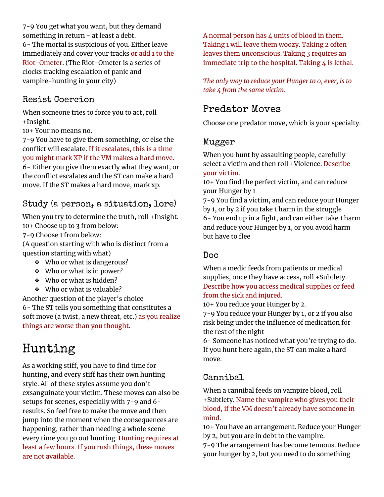7-9 You get what you want, but they demand something in return - at least a debt. 6- The mortal is suspicious of you. Either leave immediately and cover your tracks or add 1 to the Riot-Ometer. (The Riot-Ometer is a series of clocks tracking escalation of panic and vampire-hunting in your city)

### Resist Coercion

When someone tries to force you to act, roll +Insight.

10+ Your no means no.

7-9 You have to give them something, or else the conflict will escalate. If it escalates, this is a time you might mark XP if the VM makes a hard move. 6- Either you give them exactly what they want, or the conflict escalates and the ST can make a hard move. If the ST makes a hard move, mark xp.

### Study (a person, a situation, lore)

When you try to determine the truth, roll +Insight. 10+ Choose up to 3 from below:

7-9 Choose 1 from below:

(A question starting with who is distinct from a question starting with what)

- ❖ Who or what is dangerous?
- ❖ Who or what is in power?
- ❖ Who or what is hidden?
- ❖ Who or what is valuable?

Another question of the player's choice 6- The ST tells you something that constitutes a soft move (a twist, a new threat, etc.) as you realize things are worse than you thought.

## Hunting

As a working stiff, you have to find time for hunting, and every stiff has their own hunting style. All of these styles assume you don't exsanguinate your victim. These moves can also be setups for scenes, especially with 7-9 and 6 results. So feel free to make the move and then jump into the moment when the consequences are happening, rather than needing a whole scene every time you go out hunting. Hunting requires at least a few hours. If you rush things, these moves are not available.

A normal person has  $\Delta$  units of blood in them. Taking 1 will leave them woozy. Taking 2 often leaves them unconscious. Taking 3 requires an immediate trip to the hospital. Taking  $\mu$  is lethal.

*The only way to reduce your Hunger to 0, ever, is to take 4 from the same victim.*

## Predator Moves

Choose one predator move, which is your specialty.

#### Mugger

When you hunt by assaulting people, carefully select a victim and then roll +Violence. Describe your victim.

10+ You find the perfect victim, and can reduce your Hunger by 1

7-9 You find a victim, and can reduce your Hunger by 1, or by 2 if you take 1 harm in the struggle 6- You end up in a fight, and can either take 1 harm and reduce your Hunger by 1, or you avoid harm but have to flee

#### Doc

When a medic feeds from patients or medical supplies, once they have access, roll +Subtlety. Describe how you access medical supplies or feed from the sick and injured.

10+ You reduce your Hunger by 2.

7-9 You reduce your Hunger by 1, or 2 if you also risk being under the influence of medication for the rest of the night

6- Someone has noticed what you're trying to do. If you hunt here again, the ST can make a hard move.

### Cannibal

When a cannibal feeds on vampire blood, roll +Subtlety. Name the vampire who gives you their blood, if the VM doesn't already have someone in mind.

10+ You have an arrangement. Reduce your Hunger by 2, but you are in debt to the vampire.

7-9 The arrangement has become tenuous. Reduce your hunger by 2, but you need to do something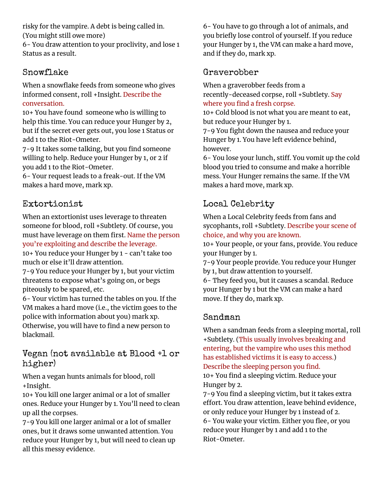risky for the vampire. A debt is being called in. (You might still owe more)

6- You draw attention to your proclivity, and lose 1 Status as a result.

### Snowflake

When a snowflake feeds from someone who gives informed consent, roll +Insight. Describe the conversation.

10+ You have found someone who is willing to help this time. You can reduce your Hunger by 2, but if the secret ever gets out, you lose 1 Status or add 1 to the Riot-Ometer.

7-9 It takes some talking, but you find someone willing to help. Reduce your Hunger by 1, or 2 if you add 1 to the Riot-Ometer.

6- Your request leads to a freak-out. If the VM makes a hard move, mark xp.

### Extortionist

When an extortionist uses leverage to threaten someone for blood, roll +Subtlety. Of course, you must have leverage on them first. Name the person you're exploiting and describe the leverage.

10+ You reduce your Hunger by 1 - can't take too much or else it'll draw attention.

7-9 You reduce your Hunger by 1, but your victim threatens to expose what's going on, or begs piteously to be spared, etc.

6- Your victim has turned the tables on you. If the VM makes a hard move (i.e., the victim goes to the police with information about you) mark xp. Otherwise, you will have to find a new person to blackmail.

### Vegan (not available at Blood +1 or higher)

When a vegan hunts animals for blood, roll +Insight.

10+ You kill one larger animal or a lot of smaller ones. Reduce your Hunger by 1. You'll need to clean up all the corpses.

7-9 You kill one larger animal or a lot of smaller ones, but it draws some unwanted attention. You reduce your Hunger by 1, but will need to clean up all this messy evidence.

6- You have to go through a lot of animals, and you briefly lose control of yourself. If you reduce your Hunger by 1, the VM can make a hard move, and if they do, mark xp.

### Graverobber

When a graverobber feeds from a recently-deceased corpse, roll +Subtlety. Say where you find a fresh corpse.

10+ Cold blood is not what you are meant to eat, but reduce your Hunger by 1.

7-9 You fight down the nausea and reduce your Hunger by 1. You have left evidence behind, however.

6- You lose your lunch, stiff. You vomit up the cold blood you tried to consume and make a horrible mess. Your Hunger remains the same. If the VM makes a hard move, mark xp.

### Local Celebrity

When a Local Celebrity feeds from fans and sycophants, roll +Subtlety. Describe your scene of choice, and why you are known.

10+ Your people, or your fans, provide. You reduce your Hunger by 1.

7-9 Your people provide. You reduce your Hunger by 1, but draw attention to yourself.

6- They feed you, but it causes a scandal. Reduce your Hunger by 1 but the VM can make a hard move. If they do, mark xp.

### Sandman

When a sandman feeds from a sleeping mortal, roll +Subtlety. (This usually involves breaking and entering, but the vampire who uses this method has established victims it is easy to access.) Describe the sleeping person you find. 10+ You find a sleeping victim. Reduce your Hunger by 2.

7-9 You find a sleeping victim, but it takes extra effort. You draw attention, leave behind evidence, or only reduce your Hunger by 1 instead of 2. 6- You wake your victim. Either you flee, or you reduce your Hunger by 1 and add 1 to the Riot-Ometer.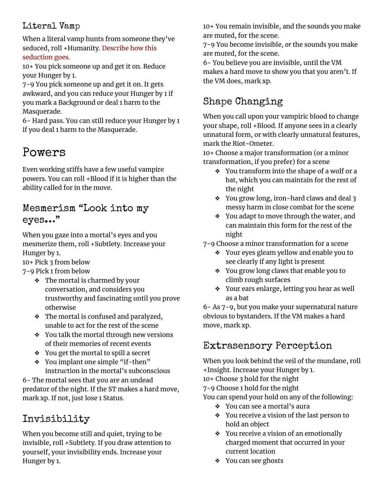### Literal Vamp

When a literal vamp hunts from someone they've seduced, roll +Humanity. Describe how this seduction goes.

10+ You pick someone up and get it on. Reduce your Hunger by 1.

7-9 You pick someone up and get it on. It gets awkward, and you can reduce your Hunger by 1 if you mark a Background or deal 1 harm to the Masquerade.

6- Hard pass. You can still reduce your Hunger by 1 if you deal 1 harm to the Masquerade.

## Powers

Even working stiffs have a few useful vampire powers. You can roll +Blood if it is higher than the ability called for in the move.

### Mesmerism "Look into my eyes…"

When you gaze into a mortal's eyes and you mesmerize them, roll +Subtlety. Increase your Hunger by 1.

10+ Pick 3 from below

7-9 Pick 1 from below

- ❖ The mortal is charmed by your conversation, and considers you trustworthy and fascinating until you prove otherwise
- ❖ The mortal is confused and paralyzed, unable to act for the rest of the scene
- ❖ You talk the mortal through new versions of their memories of recent events
- ❖ You get the mortal to spill a secret
- ❖ You implant one simple "if-then" instruction in the mortal's subconscious

6- The mortal sees that you are an undead predator of the night. If the ST makes a hard move, mark xp. If not, just lose 1 Status.

## Invisibility

When you become still and quiet, trying to be invisible, roll +Subtlety. If you draw attention to yourself, your invisibility ends. Increase your Hunger by 1.

10+ You remain invisible, and the sounds you make are muted, for the scene.

7-9 You become invisible, *or* the sounds you make are muted, for the scene.

6- You believe you are invisible, until the VM makes a hard move to show you that you aren't. If the VM does, mark xp.

## Shape Changing

When you call upon your vampiric blood to change your shape, roll +Blood. If anyone sees in a clearly unnatural form, or with clearly unnatural features, mark the Riot-Ometer.

10+ Choose a major transformation (or a minor transformation, if you prefer) for a scene

- ❖ You transform into the shape of a wolf or a bat, which you can maintain for the rest of the night
- ❖ You grow long, iron-hard claws and deal 3 messy harm in close combat for the scene
- ❖ You adapt to move through the water, and can maintain this form for the rest of the night

7-9 Choose a minor transformation for a scene

- ❖ Your eyes gleam yellow and enable you to see clearly if any light is present
- ❖ You grow long claws that enable you to climb rough surfaces
- ❖ Your ears enlarge, letting you hear as well as a bat

6- As 7-9, but you make your supernatural nature obvious to bystanders. If the VM makes a hard move, mark xp.

## Extrasensory Perception

When you look behind the veil of the mundane, roll +Insight. Increase your Hunger by 1.

10+ Choose 3 hold for the night

7-9 Choose 1 hold for the night

You can spend your hold on any of the following:

- ❖ You can see a mortal's aura
- ❖ You receive a vision of the last person to hold an object
- ❖ You receive a vision of an emotionally charged moment that occurred in your current location
- ❖ You can see ghosts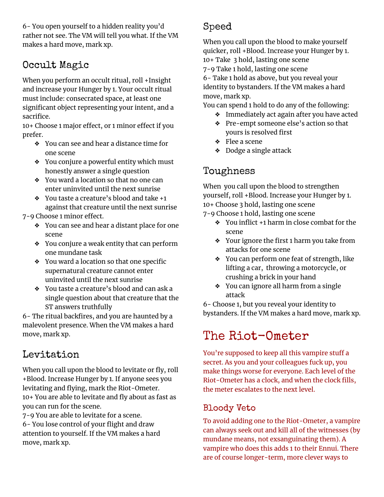6- You open yourself to a hidden reality you'd rather not see. The VM will tell you what. If the VM makes a hard move, mark xp.

## Occult Magic

When you perform an occult ritual, roll +Insight and increase your Hunger by 1. Your occult ritual must include: consecrated space, at least one significant object representing your intent, and a sacrifice.

10+ Choose 1 major effect, or 1 minor effect if you prefer.

- ❖ You can see and hear a distance time for one scene
- ❖ You conjure a powerful entity which must honestly answer a single question
- ❖ You ward a location so that no one can enter uninvited until the next sunrise
- ❖ You taste a creature's blood and take +1 against that creature until the next sunrise

7-9 Choose 1 minor effect.

- ❖ You can see and hear a distant place for one scene
- ❖ You conjure a weak entity that can perform one mundane task
- ❖ You ward a location so that one specific supernatural creature cannot enter uninvited until the next sunrise
- ❖ You taste a creature's blood and can ask a single question about that creature that the ST answers truthfully

6- The ritual backfires, and you are haunted by a malevolent presence. When the VM makes a hard move, mark xp.

## Levitation

When you call upon the blood to levitate or fly, roll +Blood. Increase Hunger by 1. If anyone sees you levitating and flying, mark the Riot-Ometer. 10+ You are able to levitate and fly about as fast as you can run for the scene.

7-9 You are able to levitate for a scene. 6- You lose control of your flight and draw attention to yourself. If the VM makes a hard move, mark xp.

## Speed

When you call upon the blood to make yourself quicker, roll +Blood. Increase your Hunger by 1. 10+ Take 3 hold, lasting one scene 7-9 Take 1 hold, lasting one scene 6- Take 1 hold as above, but you reveal your identity to bystanders. If the VM makes a hard

move, mark xp.

You can spend 1 hold to do any of the following:

- ❖ Immediately act again after you have acted
- ❖ Pre-empt someone else's action so that yours is resolved first
- ❖ Flee a scene
- ❖ Dodge a single attack

## Toughness

When you call upon the blood to strengthen yourself, roll +Blood. Increase your Hunger by 1. 10+ Choose 3 hold, lasting one scene

- 7-9 Choose 1 hold, lasting one scene
	- ❖ You inflict +1 harm in close combat for the scene
	- ❖ Your ignore the first 1 harm you take from attacks for one scene
	- ❖ You can perform one feat of strength, like lifting a car, throwing a motorcycle, or crushing a brick in your hand
	- ❖ You can ignore all harm from a single attack

6- Choose 1, but you reveal your identity to bystanders. If the VM makes a hard move, mark xp.

# The Riot-Ometer

You're supposed to keep all this vampire stuff a secret. As you and your colleagues fuck up, you make things worse for everyone. Each level of the Riot-Ometer has a clock, and when the clock fills, the meter escalates to the next level.

### Bloody Veto

To avoid adding one to the Riot-Ometer, a vampire can always seek out and kill all of the witnesses (by mundane means, not exsanguinating them). A vampire who does this adds 1 to their Ennui. There are of course longer-term, more clever ways to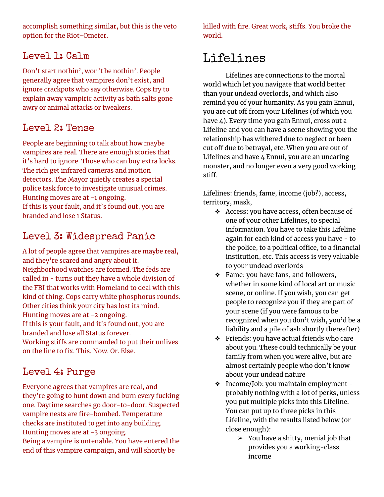accomplish something similar, but this is the veto option for the Riot-Ometer.

### Level 1: Calm

Don't start nothin', won't be nothin'. People generally agree that vampires don't exist, and ignore crackpots who say otherwise. Cops try to explain away vampiric activity as bath salts gone awry or animal attacks or tweakers.

### Level 2: Tense

People are beginning to talk about how maybe vampires are real. There are enough stories that it's hard to ignore. Those who can buy extra locks. The rich get infrared cameras and motion detectors. The Mayor quietly creates a special police task force to investigate unusual crimes. Hunting moves are at -1 ongoing. If this is your fault, and it's found out, you are branded and lose 1 Status.

## Level 3: Widespread Panic

A lot of people agree that vampires are maybe real, and they're scared and angry about it. Neighborhood watches are formed. The feds are called in - turns out they have a whole division of the FBI that works with Homeland to deal with this kind of thing. Cops carry white phosphorus rounds. Other cities think your city has lost its mind. Hunting moves are at -2 ongoing. If this is your fault, and it's found out, you are branded and lose all Status forever. Working stiffs are commanded to put their unlives on the line to fix. This. Now. Or. Else.

### Level 4: Purge

Everyone agrees that vampires are real, and they're going to hunt down and burn every fucking one. Daytime searches go door-to-door. Suspected vampire nests are fire-bombed. Temperature checks are instituted to get into any building. Hunting moves are at -3 ongoing. Being a vampire is untenable. You have entered the end of this vampire campaign, and will shortly be

killed with fire. Great work, stiffs. You broke the world.

## Lifelines

Lifelines are connections to the mortal world which let you navigate that world better than your undead overlords, and which also remind you of your humanity. As you gain Ennui, you are cut off from your Lifelines (of which you have 4). Every time you gain Ennui, cross out a Lifeline and you can have a scene showing you the relationship has withered due to neglect or been cut off due to betrayal, etc. When you are out of Lifelines and have 4 Ennui, you are an uncaring monster, and no longer even a very good working stiff.

Lifelines: friends, fame, income (job?), access, territory, mask,

- ❖ Access: you have access, often because of one of your other Lifelines, to special information. You have to take this Lifeline again for each kind of access you have - to the police, to a political office, to a financial institution, etc. This access is very valuable to your undead overlords
- ❖ Fame: you have fans, and followers, whether in some kind of local art or music scene, or online. If you wish, you can get people to recognize you if they are part of your scene (if you were famous to be recognized when you don't wish, you'd be a liability and a pile of ash shortly thereafter)
- ❖ Friends: you have actual friends who care about you. These could technically be your family from when you were alive, but are almost certainly people who don't know about your undead nature
- ❖ Income/Job: you maintain employment probably nothing with a lot of perks, unless you put multiple picks into this Lifeline. You can put up to three picks in this Lifeline, with the results listed below (or close enough):
	- $\geq$  You have a shitty, menial job that provides you a working-class income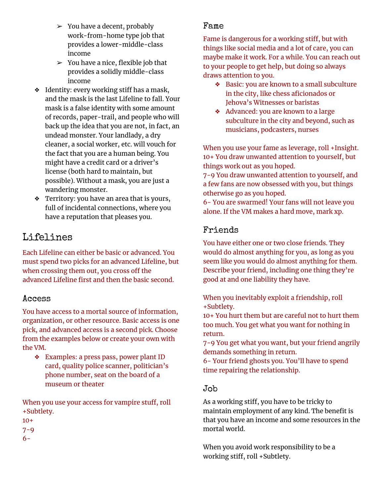- $\geq$  You have a decent, probably work-from-home type job that provides a lower-middle-class income
- $>$  You have a nice, flexible job that provides a solidly middle-class income
- ❖ Identity: every working stiff has a mask, and the mask is the last Lifeline to fall. Your mask is a false identity with some amount of records, paper-trail, and people who will back up the idea that you are not, in fact, an undead monster. Your landlady, a dry cleaner, a social worker, etc. will vouch for the fact that you are a human being. You might have a credit card or a driver's license (both hard to maintain, but possible). Without a mask, you are just a wandering monster.
- ❖ Territory: you have an area that is yours, full of incidental connections, where you have a reputation that pleases you.

### Lifelines

Each Lifeline can either be basic or advanced. You must spend two picks for an advanced Lifeline, but when crossing them out, you cross off the advanced Lifeline first and then the basic second.

#### Access

You have access to a mortal source of information, organization, or other resource. Basic access is one pick, and advanced access is a second pick. Choose from the examples below or create your own with the VM.

❖ Examples: a press pass, power plant ID card, quality police scanner, politician's phone number, seat on the board of a museum or theater

When you use your access for vampire stuff, roll +Subtlety.

- 10+
- $7 9$
- 6-

#### Fame

Fame is dangerous for a working stiff, but with things like social media and a lot of care, you can maybe make it work. For a while. You can reach out to your people to get help, but doing so always draws attention to you.

- ❖ Basic: you are known to a small subculture in the city, like chess aficionados or Jehova's Witnesses or baristas
- ❖ Advanced: you are known to a large subculture in the city and beyond, such as musicians, podcasters, nurses

When you use your fame as leverage, roll +Insight. 10+ You draw unwanted attention to yourself, but things work out as you hoped.

7-9 You draw unwanted attention to yourself, and a few fans are now obsessed with you, but things otherwise go as you hoped.

6- You are swarmed! Your fans will not leave you alone. If the VM makes a hard move, mark xp.

### Friends

You have either one or two close friends. They would do almost anything for you, as long as you seem like you would do almost anything for them. Describe your friend, including one thing they're good at and one liability they have.

When you inevitably exploit a friendship, roll +Subtlety.

10+ You hurt them but are careful not to hurt them too much. You get what you want for nothing in return.

7-9 You get what you want, but your friend angrily demands something in return.

6- Your friend ghosts you. You'll have to spend time repairing the relationship.

#### Job

As a working stiff, you have to be tricky to maintain employment of any kind. The benefit is that you have an income and some resources in the mortal world.

When you avoid work responsibility to be a working stiff, roll +Subtlety.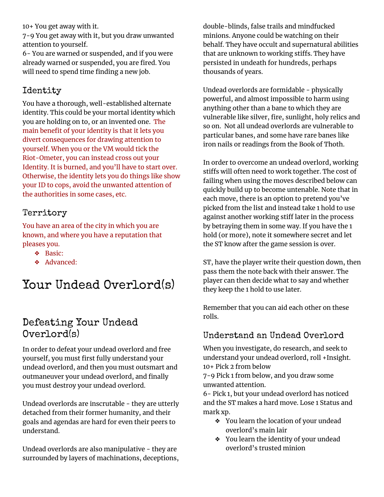10+ You get away with it.

7-9 You get away with it, but you draw unwanted attention to yourself.

6- You are warned or suspended, and if you were already warned or suspended, you are fired. You will need to spend time finding a new job.

### Identity

You have a thorough, well-established alternate identity. This could be your mortal identity which you are holding on to, or an invented one. The main benefit of your identity is that it lets you divert consequences for drawing attention to yourself. When you or the VM would tick the Riot-Ometer, you can instead cross out your Identity. It is burned, and you'll have to start over. Otherwise, the identity lets you do things like show your ID to cops, avoid the unwanted attention of the authorities in some cases, etc.

### Territory

You have an area of the city in which you are known, and where you have a reputation that pleases you.

- ❖ Basic:
- ❖ Advanced:

## Your Undead Overlord(s)

### Defeating Your Undead Overlord(s)

In order to defeat your undead overlord and free yourself, you must first fully understand your undead overlord, and then you must outsmart and outmaneuver your undead overlord, and finally you must destroy your undead overlord.

Undead overlords are inscrutable - they are utterly detached from their former humanity, and their goals and agendas are hard for even their peers to understand.

Undead overlords are also manipulative - they are surrounded by layers of machinations, deceptions, double-blinds, false trails and mindfucked minions. Anyone could be watching on their behalf. They have occult and supernatural abilities that are unknown to working stiffs. They have persisted in undeath for hundreds, perhaps thousands of years.

Undead overlords are formidable - physically powerful, and almost impossible to harm using anything other than a bane to which they are vulnerable like silver, fire, sunlight, holy relics and so on. Not all undead overlords are vulnerable to particular banes, and some have rare banes like iron nails or readings from the Book of Thoth.

In order to overcome an undead overlord, working stiffs will often need to work together. The cost of failing when using the moves described below can quickly build up to become untenable. Note that in each move, there is an option to pretend you've picked from the list and instead take 1 hold to use against another working stiff later in the process by betraying them in some way. If you have the 1 hold (or more), note it somewhere secret and let the ST know after the game session is over.

ST, have the player write their question down, then pass them the note back with their answer. The player can then decide what to say and whether they keep the 1 hold to use later.

Remember that you can aid each other on these rolls.

#### Understand an Undead Overlord

When you investigate, do research, and seek to understand your undead overlord, roll +Insight. 10+ Pick 2 from below

7-9 Pick 1 from below, and you draw some unwanted attention.

6- Pick 1, but your undead overlord has noticed and the ST makes a hard move. Lose 1 Status and mark xp.

- ❖ You learn the location of your undead overlord's main lair
- ❖ You learn the identity of your undead overlord's trusted minion